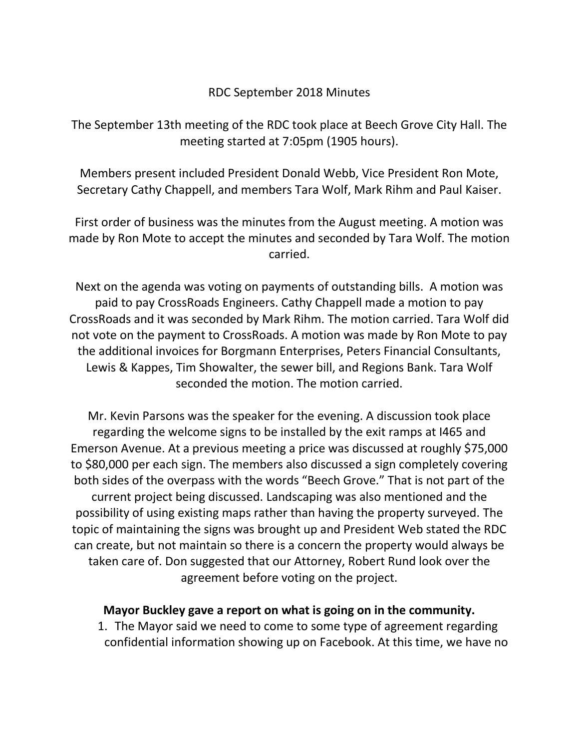## RDC September 2018 Minutes

The September 13th meeting of the RDC took place at Beech Grove City Hall. The meeting started at 7:05pm (1905 hours).

Members present included President Donald Webb, Vice President Ron Mote, Secretary Cathy Chappell, and members Tara Wolf, Mark Rihm and Paul Kaiser.

First order of business was the minutes from the August meeting. A motion was made by Ron Mote to accept the minutes and seconded by Tara Wolf. The motion carried.

Next on the agenda was voting on payments of outstanding bills. A motion was paid to pay CrossRoads Engineers. Cathy Chappell made a motion to pay CrossRoads and it was seconded by Mark Rihm. The motion carried. Tara Wolf did not vote on the payment to CrossRoads. A motion was made by Ron Mote to pay the additional invoices for Borgmann Enterprises, Peters Financial Consultants, Lewis & Kappes, Tim Showalter, the sewer bill, and Regions Bank. Tara Wolf seconded the motion. The motion carried.

Mr. Kevin Parsons was the speaker for the evening. A discussion took place regarding the welcome signs to be installed by the exit ramps at I465 and Emerson Avenue. At a previous meeting a price was discussed at roughly \$75,000 to \$80,000 per each sign. The members also discussed a sign completely covering both sides of the overpass with the words "Beech Grove." That is not part of the current project being discussed. Landscaping was also mentioned and the possibility of using existing maps rather than having the property surveyed. The topic of maintaining the signs was brought up and President Web stated the RDC can create, but not maintain so there is a concern the property would always be taken care of. Don suggested that our Attorney, Robert Rund look over the agreement before voting on the project.

## **Mayor Buckley gave a report on what is going on in the community.**

1. The Mayor said we need to come to some type of agreement regarding confidential information showing up on Facebook. At this time, we have no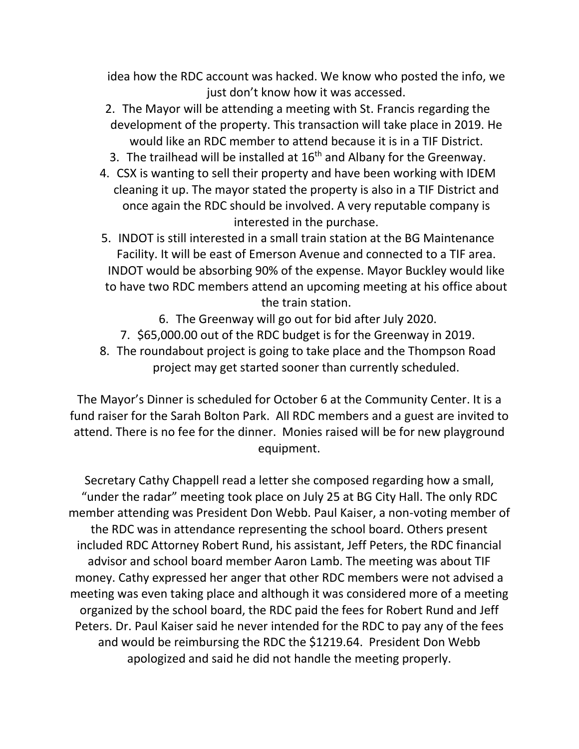idea how the RDC account was hacked. We know who posted the info, we just don't know how it was accessed.

- 2. The Mayor will be attending a meeting with St. Francis regarding the development of the property. This transaction will take place in 2019. He would like an RDC member to attend because it is in a TIF District.
- 3. The trailhead will be installed at  $16<sup>th</sup>$  and Albany for the Greenway.
- 4. CSX is wanting to sell their property and have been working with IDEM cleaning it up. The mayor stated the property is also in a TIF District and once again the RDC should be involved. A very reputable company is interested in the purchase.
- 5. INDOT is still interested in a small train station at the BG Maintenance Facility. It will be east of Emerson Avenue and connected to a TIF area. INDOT would be absorbing 90% of the expense. Mayor Buckley would like to have two RDC members attend an upcoming meeting at his office about the train station.
	- 6. The Greenway will go out for bid after July 2020.
	- 7. \$65,000.00 out of the RDC budget is for the Greenway in 2019.
- 8. The roundabout project is going to take place and the Thompson Road project may get started sooner than currently scheduled.

The Mayor's Dinner is scheduled for October 6 at the Community Center. It is a fund raiser for the Sarah Bolton Park. All RDC members and a guest are invited to attend. There is no fee for the dinner. Monies raised will be for new playground equipment.

Secretary Cathy Chappell read a letter she composed regarding how a small, "under the radar" meeting took place on July 25 at BG City Hall. The only RDC member attending was President Don Webb. Paul Kaiser, a non-voting member of the RDC was in attendance representing the school board. Others present included RDC Attorney Robert Rund, his assistant, Jeff Peters, the RDC financial advisor and school board member Aaron Lamb. The meeting was about TIF money. Cathy expressed her anger that other RDC members were not advised a meeting was even taking place and although it was considered more of a meeting organized by the school board, the RDC paid the fees for Robert Rund and Jeff Peters. Dr. Paul Kaiser said he never intended for the RDC to pay any of the fees and would be reimbursing the RDC the \$1219.64. President Don Webb apologized and said he did not handle the meeting properly.